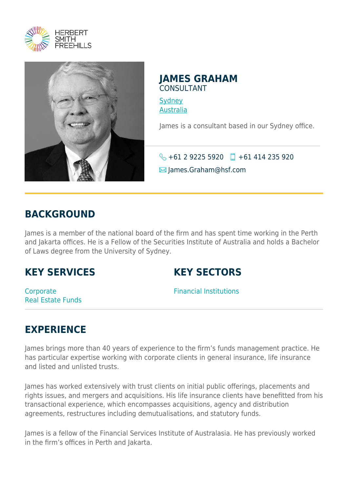



#### **JAMES GRAHAM** CONSULTANT

**[Sydney](https://www.herbertsmithfreehills.com/where-we-work/sydney)** [Australia](https://www.herbertsmithfreehills.com/where-we-work/australia)

James is a consultant based in our Sydney office.

 $\bigodot$  +61 2 9225 5920  $\Box$  +61 414 235 920

 $\blacksquare$  James.Graham@hsf.com

#### **BACKGROUND**

James is a member of the national board of the firm and has spent time working in the Perth and Jakarta offices. He is a Fellow of the Securities Institute of Australia and holds a Bachelor of Laws degree from the University of Sydney.

## **KEY SERVICES**

## **KEY SECTORS**

**Corporate** Real Estate Funds Financial Institutions

# **EXPERIENCE**

James brings more than 40 years of experience to the firm's funds management practice. He has particular expertise working with corporate clients in general insurance, life insurance and listed and unlisted trusts.

James has worked extensively with trust clients on initial public offerings, placements and rights issues, and mergers and acquisitions. His life insurance clients have benefitted from his transactional experience, which encompasses acquisitions, agency and distribution agreements, restructures including demutualisations, and statutory funds.

James is a fellow of the Financial Services Institute of Australasia. He has previously worked in the firm's offices in Perth and Jakarta.